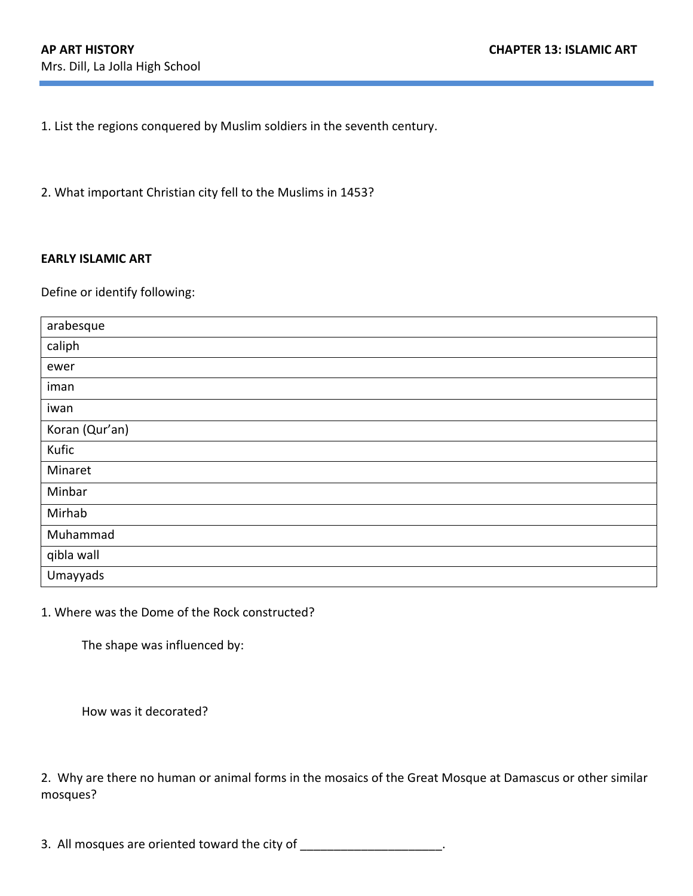1. List the regions conquered by Muslim soldiers in the seventh century.

2. What important Christian city fell to the Muslims in 1453?

## **EARLY ISLAMIC ART**

Define or identify following:

| arabesque      |
|----------------|
| caliph         |
| ewer           |
| iman           |
| iwan           |
| Koran (Qur'an) |
| Kufic          |
| Minaret        |
| Minbar         |
| Mirhab         |
| Muhammad       |
| qibla wall     |
| Umayyads       |

1. Where was the Dome of the Rock constructed?

The shape was influenced by:

How was it decorated?

2. Why are there no human or animal forms in the mosaics of the Great Mosque at Damascus or other similar mosques?

3. All mosques are oriented toward the city of \_\_\_\_\_\_\_\_\_\_\_\_\_\_\_\_\_\_\_\_\_\_.